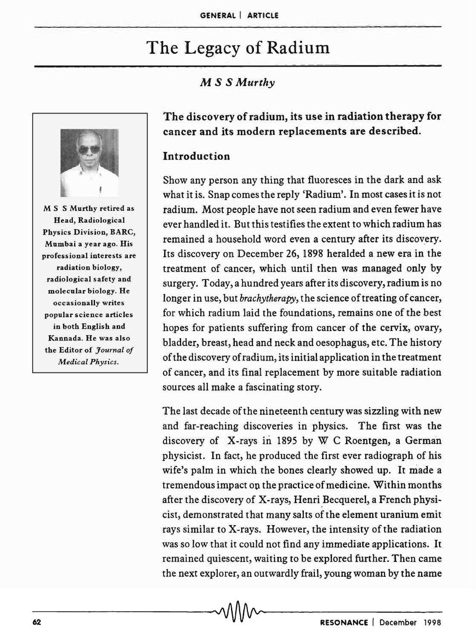# The Legacy of Radium

## M *S S Murthy*



M S S Murthy retired as Head, Radiological Physics Division, BARC, Mumbai a year ago. His professional interests are radiation biology, radiological safety and molecular biology. He occasionally writes popular science articles in both English and Kannada. He was also the Editor of *Journal of Medical Physics.* 

The discovery of radium, its use in radiation therapy for cancer and its modern replacements are described.

#### Introduction

Show any person any thing that fluoresces in the dark and ask what it is. Snap comes the reply 'Radium'. In most cases it is not radium. Most people have not seen radium and even fewer have ever handled it. But this testifies the extent to which radium has remained a household word even a century after its discovery. Its discovery on December 26, 1898 heralded a new era in the treatment of cancer, which until then was managed only by surgery. Today, a hundred years after its discovery, radium is no longer in use, but *brachytherapy,* the science of treating of cancer, for which radium laid the foundations, remains one of the best hopes for patients suffering from cancer of the cervix, ovary, bladder, breast, head and neck and oesophagus, etc. The history of the discovery of radium, its initial application in the treatment of cancer, and its final replacement by more suitable radiation sources all make a fascinating story.

The last decade of the nineteenth century was sizzling with new and far-reaching discoveries in physics. The first was the discovery of X-rays in 1895 by W C Roentgen, a German physicist. In fact, he produced the first ever radiograph of his wife's palm in which the bones clearly showed up. It made a tremendous impact on the practice of medicine. Within months after the discovery of X-rays, Henri Becquerel, a French physicist, demonstrated that many salts of the element uranium emit rays similar to X-rays. However, the intensity of the radiation was so low that it could not find any immediate applications. It remained quiescent, waiting to be explored further. Then came the next explorer, an outwardly frail, young woman by the name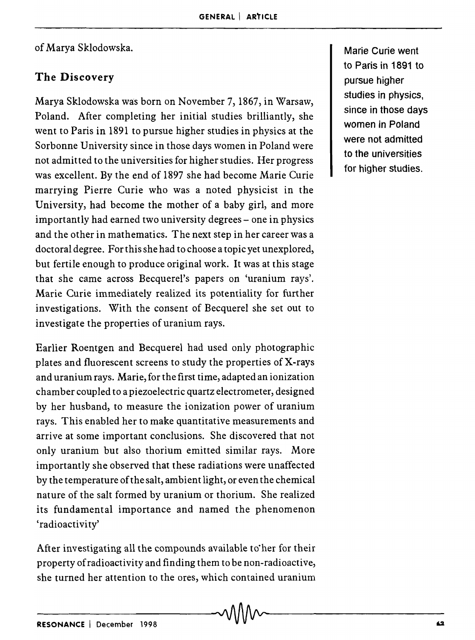of Marya Sklodowska.

### The Discovery

Marya Sklodowska was born on November 7, 1867, in Warsaw, Poland. After completing her initial studies brilliantly, she went to Paris in 1891 to pursue higher studies in physics at the Sorbonne University since in those days women in Poland were not admitted to the universities for higher studies. Her progress was excellent. By the end of 1897 she had become Marie Curie marrying Pierre Curie who was a noted physicist in the University, had become the mother of a baby girl, and more importantly had earned two university degrees - one in physics and the other in mathematics. The next step in her career was a doctoral degree. For this she had to choose a topic yet unexplored, but fertile enough to produce original work. It was at this stage that she came across Becquerel's papers on 'uranium rays'. Marie Curie immediately realized its potentiality for further investigations. With the consent of Becquerel she set out to investigate the properties of uranium rays.

Earlier Roentgen and Becquerel had used only photographic plates and fluorescent screens to study the properties of X-rays and uranium rays. Marie, for the first time, adapted an ionization chamber coupled to a piezoelectric quartz electrometer, designed by her husband, to measure the ionization power of uranium rays. This enabled her to make quantitative measurements and arrive at some important conclusions. She discovered that not only uranium but also thorium emitted similar rays. More importantly she observed that these radiations were unaffected by the temperature of the salt, ambient light, or even the chemical nature of the salt formed by uranium or thorium. She realized its fundamental importance and named the phenomenon 'radioactivity'

After investigating all the compounds available to'her for their property of radioactivity and finding them to be non-radioactive, she turned her attention to the ores, which contained uranium Marie Curie went to Paris in 1891 to pursue higher studies in physics, since in those days women in Poland were not admitted to the universities for higher studies.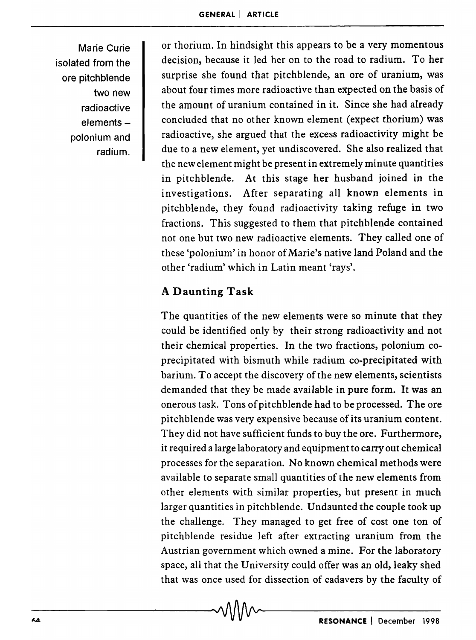Marie Curie isolated from the ore pitchblende two new radioactive elements polonium and radium.

or thorium. In hindsight this appears to be a very momentous decision, because it led her on to the road to radium. To her surprise she found that pitchblende, an ore of uranium, was about four times more radioactive than expected on the basis of the amount of uranium contained in it. Since she had already concluded that no other known element (expect thorium) was radioactive, she argued that the excess radioactivity might be due to a new element, yet undiscovered. She also realized that the new element might be present in extremely minute quantities in pitchblende. At this stage her husband joined in the investigations. After separating all known elements in pitchblende, they found radioactivity taking refuge in two fractions. This suggested to them that pitchblende contained not one but two new radioactive elements. They called one of these 'polonium' in honor of Marie's native land Poland and the other 'radium' which in Latin meant 'rays'.

#### A Daunting Task

The quantities of the new elements were so minute that they could be identified only by their strong radioactivity and not their chemical properties. In the two fractions, polonium coprecipitated with bismuth while radium co-precipitated with barium. To accept the discovery of the new elements, scientists demanded that they be made available in pure form. It was an onerous task. Tons of pitchblende had to be processed. The ore pitchblende was very expensive because of its uranium content. They did not have sufficient funds to buy the ore. Furthermore, it required a large laboratory and equipment to carry out chemical processes for the separation. No known chemical methods were available to separate small quantities of the new elements from other elements with similar properties, but present in much larger quantities in pitchblende. Undaunted the couple took up the challenge. They managed to get free of cost one ton of pitchblende residue left after extracting uranium from the Austrian government which owned a mine. For the laboratory space, all that the University could offer was an old, leaky shed that was once used for dissection of cadavers by the faculty of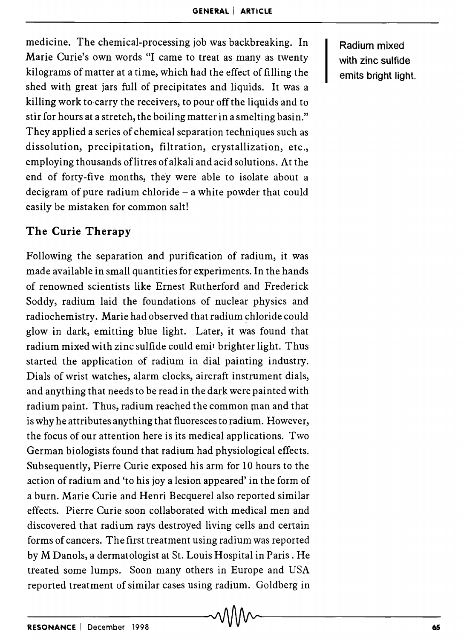medicine. The chemical-processing job was backbreaking. In Marie Curie's own words "I came to treat as many as twenty kilograms of matter at a time, which had the effect of filling the shed with great jars full of precipitates and liquids. It was a killing work to carry the receivers, to pour off the liquids and to stir for hours at a stretch, the boiling matter in a smelting basin." They applied a series of chemical separation techniques such as dissolution, precipitation, filtration, crystallization, etc., employing thousands oflitres of alkali and acid solutions. At the end of forty-five months, they were able to isolate about a decigram of pure radium chloride - a white powder that could easily be mistaken for common salt!

#### The Curie Therapy

Following the separation and purification of radium, it was made available in small quantities for experiments. In the hands of renowned scientists like Ernest Rutherford and Frederick Soddy, radium laid the foundations of nuclear physics and radiochemistry. Marie had observed that radium chloride could glow in dark, emitting blue light. Later, it was found that radium mixed with zinc sulfide could emit brighter light. Thus started the application of radium in dial painting industry. Dials of wrist watches, alarm clocks, aircraft instrument dials, and anything that needs to be read in the dark were painted with radium paint. Thus, radium reached the common man and that is why he attributes anything that fluoresces to radium. However, the focus of our attention here is its medical applications. Two German biologists found that radium had physiological effects. Subsequently, Pierre Curie exposed his arm for 10 hours to the action of radium and 'to his joy a lesion appeared' in the form of a burn. Marie Curie and Henri Becquerel also reported similar effects. Pierre Curie soon collaborated with medical men and discovered that radium rays destroyed living cells and certain forms of cancers. The first treatment using radium was reported by M Danols, a dermatologist at St. Louis Hospital in Paris. He treated some lumps. Soon many others in Europe and USA reported treatment of similar cases using radium. Goldberg in  $\sim$ 

Radium mixed with zinc sulfide emits bright light.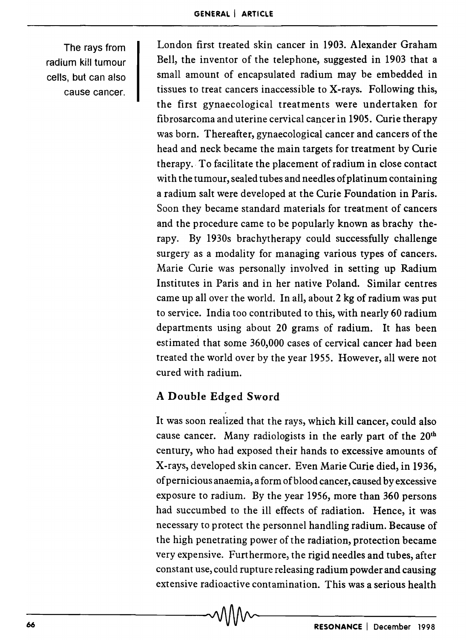The rays from radium kill tumour cells, but can also cause cancer.

London first treated skin cancer in 1903. Alexander Graham Bell, the inventor of the telephone, suggested in 1903 that a small amount of encapsulated radium may be embedded in tissues to treat cancers inaccessible to X-rays. Following this, the first gynaecological treatments were undertaken for fibrosarcoma and uterine cervical cancer in 1905. Curie therapy was born. Thereafter, gynaecological cancer and cancers of the head and neck became the main targets for treatment by Curie therapy." To facilitate the placement of radium in close contact with the tumour, sealed tubes and needles of platinum containing a radium salt were developed at the Curie Foundation in Paris. Soon they became standard materials for treatment of cancers and the procedure came to be popularly known as brachy therapy. By 1930s brachytherapy could successfully challenge surgery as a modality for managing various types of cancers. Marie Curie was personally involved in setting up Radium Institutes in Paris and in her native Poland. Similar centres came up all over the world. In all, about 2 kg of radium was put to service. India too contributed to this, with nearly 60 radium departments using about 20 grams of radium. It has been estimated that some 360,000 cases of cervical cancer had been treated the world over by the year 1955. However, all were not cured with radium.

## A Double Edged Sword

It was soon realized that the rays, which kill cancer, could also cause cancer. Many radiologists in the early part of the 20<sup>th</sup> century, who had exposed their hands to excessive amounts of X-rays, developed skin cancer. Even Marie Curie died, in 1936, of pernicious anaemia, a form of blood cancer, caused by excessive exposure to radium. By the year 1956, more than 360 persons had succumbed to the ill effects of radiation. Hence, it was necessary to protect the personnel handling radium. Because of the high penetrating power of the radiation, protection became very expensive. Furthermore, the rigid needles and tubes, after constant use, could rupture releasing radium powder and causing extensive radioactive contamination. This was a serious health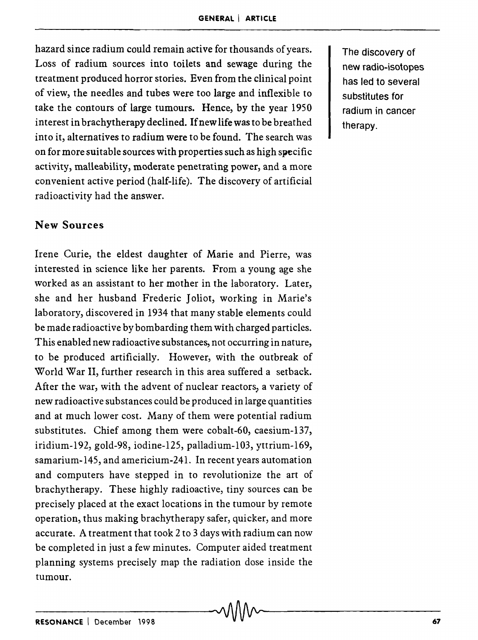hazard since radium could remain active for thousands of years. Loss of radium sources into toilets and sewage during the treatment produced horror stories. Even from the clinical point of view, the needles and tubes were too large and inflexible to take the contours of large tumours. Hence, by the year 1950 interest in brachytherapy declined. If new life was to be breathed into it, alternatives to radium were to be found. The search was on for more suitable sources with properties such as high specific activity, malleability, moderate penetrating power, and a more convenient active period (half-life). The discovery of artificial radioactivity had the answer.

#### New Sources

Irene Curie, the eldest daughter of Marie and Pierre, was interested in science like her parents. From a young age she worked as an assistant to her mother in the laboratory. Later, she and her husband Frederic Joliot, working in Marie's laboratory, discovered in 1934 that many stable elements could be made radioactive by bombarding them with charged particles. This enabled new radioactive substances, not occurring in nature, to be produced artificially. However, with the outbreak of World War II, further research in this area suffered a setback. After the war, with the advent of nuclear reactors, a variety of new radioactive substances could be produced in large quantities and at much lower cost. Many of them were potential radium substitutes. Chief among them were cobalt-60, caesium-137, iridium-192, gold-98, iodine-125, palladium-l03, yttrium-169, samarium-145, and americium-241. In recent years automation and computers have stepped in to revolutionize the art of brachytherapy. These highly radioactive, tiny sources can be precisely placed at the exact locations in the tumour by remote operation, thus making brachytherapy safer, quicker, and more accurate. A treatment that took 2 to 3 days with radium can now be completed in just a few minutes. Computer aided treatment planning systems precisely map the radiation dose inside the tumour.

The discovery of new radio-isotopes has led to several substitutes for radium in cancer therapy.